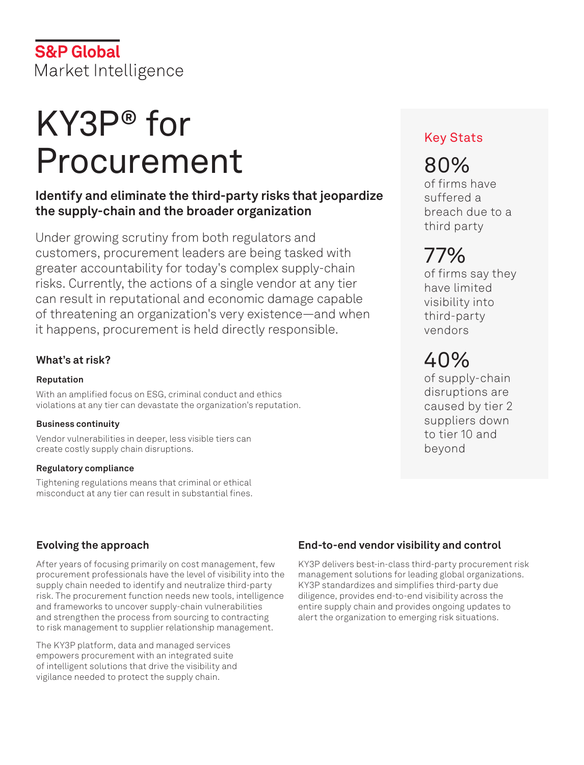# KY3P® for Procurement

# **Identify and eliminate the third-party risks that jeopardize the supply-chain and the broader organization**

Under growing scrutiny from both regulators and customers, procurement leaders are being tasked with greater accountability for today's complex supply-chain risks. Currently, the actions of a single vendor at any tier can result in reputational and economic damage capable of threatening an organization's very existence—and when it happens, procurement is held directly responsible.

## **What's at risk?**

#### **Reputation**

With an amplified focus on ESG, criminal conduct and ethics violations at any tier can devastate the organization's reputation.

#### **Business continuity**

Vendor vulnerabilities in deeper, less visible tiers can create costly supply chain disruptions.

#### **Regulatory compliance**

Tightening regulations means that criminal or ethical misconduct at any tier can result in substantial fines.

## **Evolving the approach**

After years of focusing primarily on cost management, few procurement professionals have the level of visibility into the supply chain needed to identify and neutralize third-party risk. The procurement function needs new tools, intelligence and frameworks to uncover supply-chain vulnerabilities and strengthen the process from sourcing to contracting to risk management to supplier relationship management.

The KY3P platform, data and managed services empowers procurement with an integrated suite of intelligent solutions that drive the visibility and vigilance needed to protect the supply chain.

## **End-to-end vendor visibility and control**

KY3P delivers best-in-class third-party procurement risk management solutions for leading global organizations. KY3P standardizes and simplifies third-party due diligence, provides end-to-end visibility across the entire supply chain and provides ongoing updates to alert the organization to emerging risk situations.

## Key Stats

# 80%

of firms have suffered a breach due to a third party

# 77%

of firms say they have limited visibility into third-party vendors

# 40%

of supply-chain disruptions are caused by tier 2 suppliers down to tier 10 and beyond